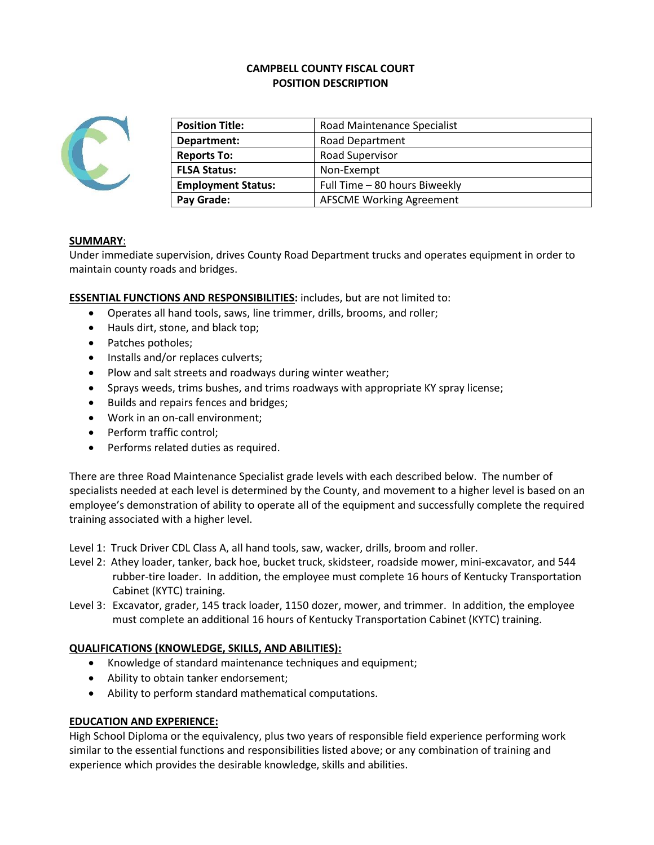# **CAMPBELL COUNTY FISCAL COURT POSITION DESCRIPTION**



| <b>Position Title:</b>                                     | Road Maintenance Specialist     |  |
|------------------------------------------------------------|---------------------------------|--|
| Department:                                                | <b>Road Department</b>          |  |
| <b>Reports To:</b>                                         | Road Supervisor                 |  |
| <b>FLSA Status:</b>                                        | Non-Exempt                      |  |
| Full Time - 80 hours Biweekly<br><b>Employment Status:</b> |                                 |  |
| Pay Grade:                                                 | <b>AFSCME Working Agreement</b> |  |
|                                                            |                                 |  |

## **SUMMARY**:

Under immediate supervision, drives County Road Department trucks and operates equipment in order to maintain county roads and bridges.

**ESSENTIAL FUNCTIONS AND RESPONSIBILITIES:** includes, but are not limited to:

- Operates all hand tools, saws, line trimmer, drills, brooms, and roller;
- Hauls dirt, stone, and black top;
- Patches potholes;
- Installs and/or replaces culverts;
- Plow and salt streets and roadways during winter weather;
- Sprays weeds, trims bushes, and trims roadways with appropriate KY spray license;
- Builds and repairs fences and bridges;
- Work in an on-call environment;
- Perform traffic control;
- Performs related duties as required.

There are three Road Maintenance Specialist grade levels with each described below. The number of specialists needed at each level is determined by the County, and movement to a higher level is based on an employee's demonstration of ability to operate all of the equipment and successfully complete the required training associated with a higher level.

Level 1: Truck Driver CDL Class A, all hand tools, saw, wacker, drills, broom and roller.

- Level 2: Athey loader, tanker, back hoe, bucket truck, skidsteer, roadside mower, mini-excavator, and 544 rubber-tire loader. In addition, the employee must complete 16 hours of Kentucky Transportation Cabinet (KYTC) training.
- Level 3: Excavator, grader, 145 track loader, 1150 dozer, mower, and trimmer. In addition, the employee must complete an additional 16 hours of Kentucky Transportation Cabinet (KYTC) training.

#### **QUALIFICATIONS (KNOWLEDGE, SKILLS, AND ABILITIES):**

- Knowledge of standard maintenance techniques and equipment;
- Ability to obtain tanker endorsement;
- Ability to perform standard mathematical computations.

#### **EDUCATION AND EXPERIENCE:**

High School Diploma or the equivalency, plus two years of responsible field experience performing work similar to the essential functions and responsibilities listed above; or any combination of training and experience which provides the desirable knowledge, skills and abilities.